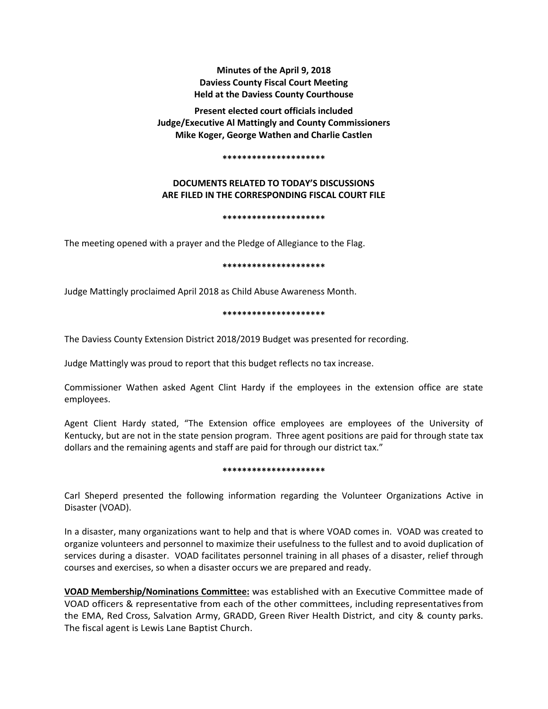**Minutes of the April 9, 2018 Daviess County Fiscal Court Meeting Held at the Daviess County Courthouse**

**Present elected court officials included Judge/Executive Al Mattingly and County Commissioners Mike Koger, George Wathen and Charlie Castlen** 

#### **\*\*\*\*\*\*\*\*\*\*\*\*\*\*\*\*\*\*\*\*\***

# **DOCUMENTS RELATED TO TODAY'S DISCUSSIONS ARE FILED IN THE CORRESPONDING FISCAL COURT FILE**

#### **\*\*\*\*\*\*\*\*\*\*\*\*\*\*\*\*\*\*\*\*\***

The meeting opened with a prayer and the Pledge of Allegiance to the Flag.

#### **\*\*\*\*\*\*\*\*\*\*\*\*\*\*\*\*\*\*\*\*\***

Judge Mattingly proclaimed April 2018 as Child Abuse Awareness Month.

#### **\*\*\*\*\*\*\*\*\*\*\*\*\*\*\*\*\*\*\*\*\***

The Daviess County Extension District 2018/2019 Budget was presented for recording.

Judge Mattingly was proud to report that this budget reflects no tax increase.

Commissioner Wathen asked Agent Clint Hardy if the employees in the extension office are state employees.

Agent Client Hardy stated, "The Extension office employees are employees of the University of Kentucky, but are not in the state pension program. Three agent positions are paid for through state tax dollars and the remaining agents and staff are paid for through our district tax."

### **\*\*\*\*\*\*\*\*\*\*\*\*\*\*\*\*\*\*\*\*\***

Carl Sheperd presented the following information regarding the Volunteer Organizations Active in Disaster (VOAD).

In a disaster, many organizations want to help and that is where VOAD comes in. VOAD was created to organize volunteers and personnel to maximize their usefulness to the fullest and to avoid duplication of services during a disaster. VOAD facilitates personnel training in all phases of a disaster, relief through courses and exercises, so when a disaster occurs we are prepared and ready.

**VOAD Membership/Nominations Committee:** was established with an Executive Committee made of VOAD officers & representative from each of the other committees, including representativesfrom the EMA, Red Cross, Salvation Army, GRADD, Green River Health District, and city & county parks. The fiscal agent is Lewis Lane Baptist Church.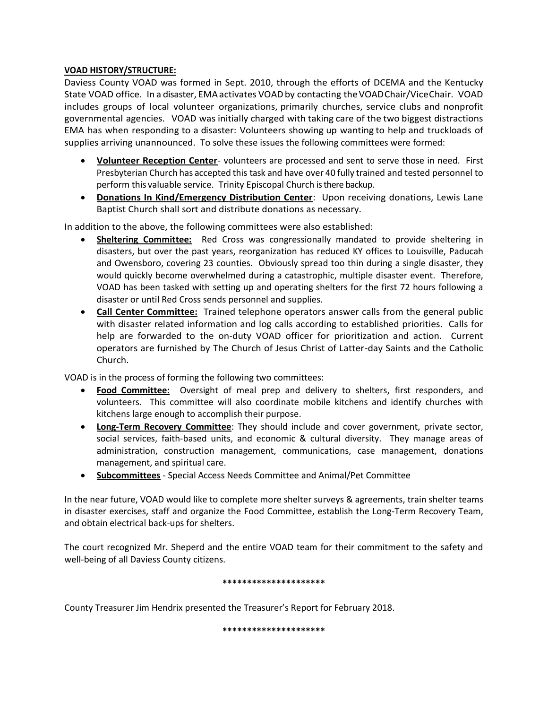# **VOAD HISTORY/STRUCTURE:**

Daviess County VOAD was formed in Sept. 2010, through the efforts of DCEMA and the Kentucky State VOAD office. In a disaster, EMAactivates VOADby contacting theVOADChair/ViceChair. VOAD includes groups of local volunteer organizations, primarily churches, service clubs and nonprofit governmental agencies. VOAD was initially charged with taking care of the two biggest distractions EMA has when responding to a disaster: Volunteers showing up wanting to help and truckloads of supplies arriving unannounced. To solve these issues the following committees were formed:

- **Volunteer Reception Center** volunteers are processed and sent to serve those in need. First Presbyterian Church has accepted this task and have over 40 fully trained and tested personnel to perform this valuable service. Trinity Episcopal Church is there backup.
- **Donations In Kind/Emergency Distribution Center**: Upon receiving donations, Lewis Lane Baptist Church shall sort and distribute donations as necessary.

In addition to the above, the following committees were also established:

- **Sheltering Committee:** Red Cross was congressionally mandated to provide sheltering in disasters, but over the past years, reorganization has reduced KY offices to Louisville, Paducah and Owensboro, covering 23 counties. Obviously spread too thin during a single disaster, they would quickly become overwhelmed during a catastrophic, multiple disaster event. Therefore, VOAD has been tasked with setting up and operating shelters for the first 72 hours following a disaster or until Red Cross sends personnel and supplies.
- **Call Center Committee:** Trained telephone operators answer calls from the general public with disaster related information and log calls according to established priorities. Calls for help are forwarded to the on-duty VOAD officer for prioritization and action. Current operators are furnished by The Church of Jesus Christ of Latter-day Saints and the Catholic Church.

VOAD is in the process of forming the following two committees:

- **Food Committee:** Oversight of meal prep and delivery to shelters, first responders, and volunteers. This committee will also coordinate mobile kitchens and identify churches with kitchens large enough to accomplish their purpose.
- **Long-Term Recovery Committee**: They should include and cover government, private sector, social services, faith-based units, and economic & cultural diversity. They manage areas of administration, construction management, communications, case management, donations management, and spiritual care.
- **Subcommittees** Special Access Needs Committee and Animal/Pet Committee

In the near future, VOAD would like to complete more shelter surveys & agreements, train shelter teams in disaster exercises, staff and organize the Food Committee, establish the Long-Term Recovery Team, and obtain electrical back-ups for shelters.

The court recognized Mr. Sheperd and the entire VOAD team for their commitment to the safety and well-being of all Daviess County citizens.

# **\*\*\*\*\*\*\*\*\*\*\*\*\*\*\*\*\*\*\*\*\***

County Treasurer Jim Hendrix presented the Treasurer's Report for February 2018.

**\*\*\*\*\*\*\*\*\*\*\*\*\*\*\*\*\*\*\*\*\***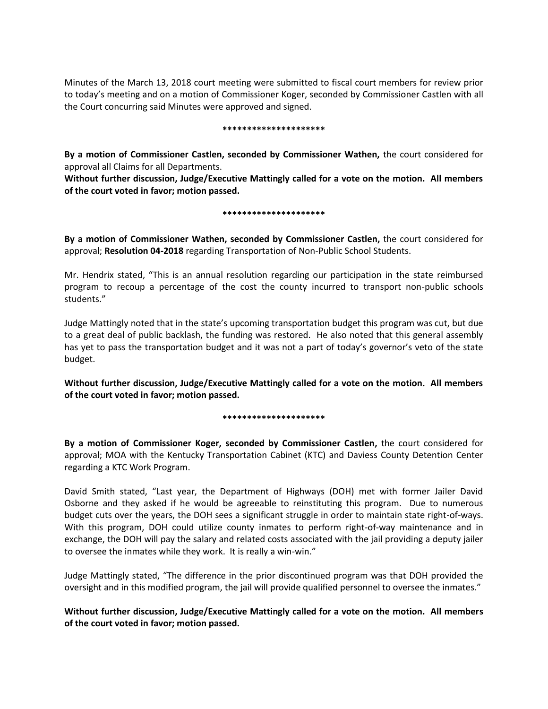Minutes of the March 13, 2018 court meeting were submitted to fiscal court members for review prior to today's meeting and on a motion of Commissioner Koger, seconded by Commissioner Castlen with all the Court concurring said Minutes were approved and signed.

### **\*\*\*\*\*\*\*\*\*\*\*\*\*\*\*\*\*\*\*\*\***

**By a motion of Commissioner Castlen, seconded by Commissioner Wathen,** the court considered for approval all Claims for all Departments.

**Without further discussion, Judge/Executive Mattingly called for a vote on the motion. All members of the court voted in favor; motion passed.** 

## **\*\*\*\*\*\*\*\*\*\*\*\*\*\*\*\*\*\*\*\*\***

**By a motion of Commissioner Wathen, seconded by Commissioner Castlen,** the court considered for approval; **Resolution 04-2018** regarding Transportation of Non-Public School Students.

Mr. Hendrix stated, "This is an annual resolution regarding our participation in the state reimbursed program to recoup a percentage of the cost the county incurred to transport non-public schools students."

Judge Mattingly noted that in the state's upcoming transportation budget this program was cut, but due to a great deal of public backlash, the funding was restored. He also noted that this general assembly has yet to pass the transportation budget and it was not a part of today's governor's veto of the state budget.

**Without further discussion, Judge/Executive Mattingly called for a vote on the motion. All members of the court voted in favor; motion passed.** 

# **\*\*\*\*\*\*\*\*\*\*\*\*\*\*\*\*\*\*\*\*\***

**By a motion of Commissioner Koger, seconded by Commissioner Castlen,** the court considered for approval; MOA with the Kentucky Transportation Cabinet (KTC) and Daviess County Detention Center regarding a KTC Work Program.

David Smith stated, "Last year, the Department of Highways (DOH) met with former Jailer David Osborne and they asked if he would be agreeable to reinstituting this program. Due to numerous budget cuts over the years, the DOH sees a significant struggle in order to maintain state right-of-ways. With this program, DOH could utilize county inmates to perform right-of-way maintenance and in exchange, the DOH will pay the salary and related costs associated with the jail providing a deputy jailer to oversee the inmates while they work. It is really a win-win."

Judge Mattingly stated, "The difference in the prior discontinued program was that DOH provided the oversight and in this modified program, the jail will provide qualified personnel to oversee the inmates."

**Without further discussion, Judge/Executive Mattingly called for a vote on the motion. All members of the court voted in favor; motion passed.**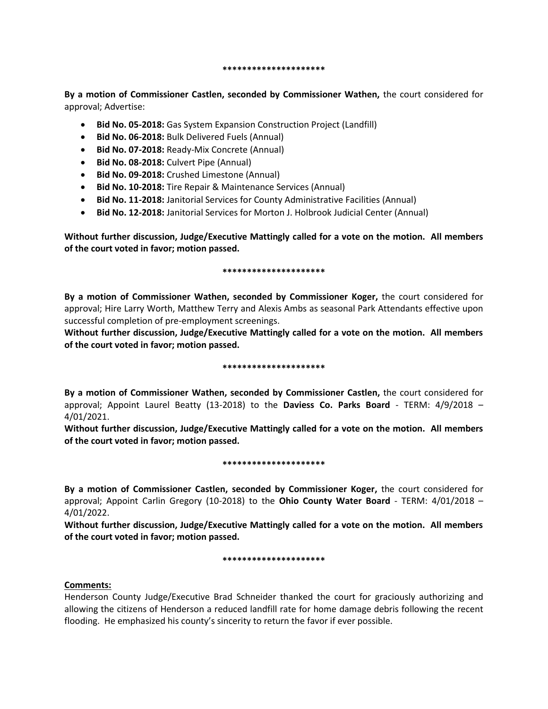#### **\*\*\*\*\*\*\*\*\*\*\*\*\*\*\*\*\*\*\*\*\***

**By a motion of Commissioner Castlen, seconded by Commissioner Wathen,** the court considered for approval; Advertise:

- **Bid No. 05-2018:** Gas System Expansion Construction Project (Landfill)
- **Bid No. 06-2018:** Bulk Delivered Fuels (Annual)
- **Bid No. 07-2018:** Ready-Mix Concrete (Annual)
- **Bid No. 08-2018:** Culvert Pipe (Annual)
- **Bid No. 09-2018:** Crushed Limestone (Annual)
- **Bid No. 10-2018:** Tire Repair & Maintenance Services (Annual)
- **Bid No. 11-2018:** Janitorial Services for County Administrative Facilities (Annual)
- **Bid No. 12-2018:** Janitorial Services for Morton J. Holbrook Judicial Center (Annual)

**Without further discussion, Judge/Executive Mattingly called for a vote on the motion. All members of the court voted in favor; motion passed.** 

## **\*\*\*\*\*\*\*\*\*\*\*\*\*\*\*\*\*\*\*\*\***

**By a motion of Commissioner Wathen, seconded by Commissioner Koger,** the court considered for approval; Hire Larry Worth, Matthew Terry and Alexis Ambs as seasonal Park Attendants effective upon successful completion of pre-employment screenings.

**Without further discussion, Judge/Executive Mattingly called for a vote on the motion. All members of the court voted in favor; motion passed.** 

# **\*\*\*\*\*\*\*\*\*\*\*\*\*\*\*\*\*\*\*\*\***

**By a motion of Commissioner Wathen, seconded by Commissioner Castlen,** the court considered for approval; Appoint Laurel Beatty (13-2018) to the **Daviess Co. Parks Board** - TERM: 4/9/2018 – 4/01/2021.

**Without further discussion, Judge/Executive Mattingly called for a vote on the motion. All members of the court voted in favor; motion passed.** 

### **\*\*\*\*\*\*\*\*\*\*\*\*\*\*\*\*\*\*\*\*\***

**By a motion of Commissioner Castlen, seconded by Commissioner Koger,** the court considered for approval; Appoint Carlin Gregory (10-2018) to the **Ohio County Water Board** - TERM: 4/01/2018 – 4/01/2022.

**Without further discussion, Judge/Executive Mattingly called for a vote on the motion. All members of the court voted in favor; motion passed.** 

# **\*\*\*\*\*\*\*\*\*\*\*\*\*\*\*\*\*\*\*\*\***

# **Comments:**

Henderson County Judge/Executive Brad Schneider thanked the court for graciously authorizing and allowing the citizens of Henderson a reduced landfill rate for home damage debris following the recent flooding. He emphasized his county's sincerity to return the favor if ever possible.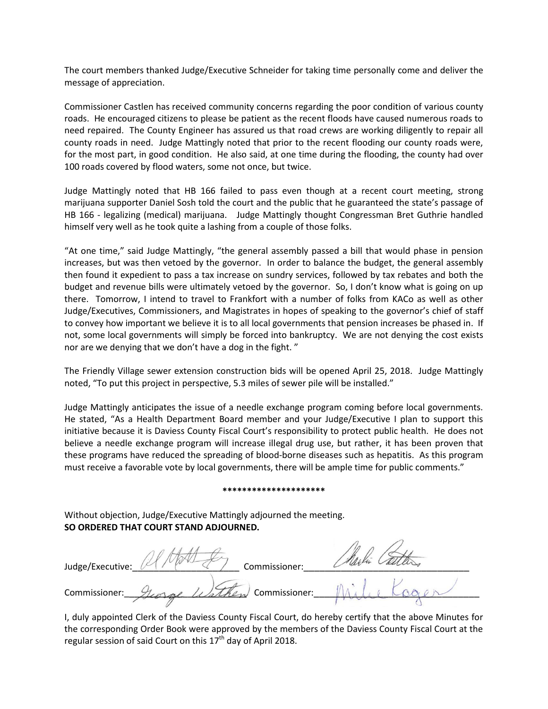The court members thanked Judge/Executive Schneider for taking time personally come and deliver the message of appreciation.

Commissioner Castlen has received community concerns regarding the poor condition of various county roads. He encouraged citizens to please be patient as the recent floods have caused numerous roads to need repaired. The County Engineer has assured us that road crews are working diligently to repair all county roads in need. Judge Mattingly noted that prior to the recent flooding our county roads were, for the most part, in good condition. He also said, at one time during the flooding, the county had over 100 roads covered by flood waters, some not once, but twice.

Judge Mattingly noted that HB 166 failed to pass even though at a recent court meeting, strong marijuana supporter Daniel Sosh told the court and the public that he guaranteed the state's passage of HB 166 - legalizing (medical) marijuana. Judge Mattingly thought Congressman Bret Guthrie handled himself very well as he took quite a lashing from a couple of those folks.

"At one time," said Judge Mattingly, "the general assembly passed a bill that would phase in pension increases, but was then vetoed by the governor. In order to balance the budget, the general assembly then found it expedient to pass a tax increase on sundry services, followed by tax rebates and both the budget and revenue bills were ultimately vetoed by the governor. So, I don't know what is going on up there. Tomorrow, I intend to travel to Frankfort with a number of folks from KACo as well as other Judge/Executives, Commissioners, and Magistrates in hopes of speaking to the governor's chief of staff to convey how important we believe it is to all local governments that pension increases be phased in. If not, some local governments will simply be forced into bankruptcy. We are not denying the cost exists nor are we denying that we don't have a dog in the fight. "

The Friendly Village sewer extension construction bids will be opened April 25, 2018. Judge Mattingly noted, "To put this project in perspective, 5.3 miles of sewer pile will be installed."

Judge Mattingly anticipates the issue of a needle exchange program coming before local governments. He stated, "As a Health Department Board member and your Judge/Executive I plan to support this initiative because it is Daviess County Fiscal Court's responsibility to protect public health. He does not believe a needle exchange program will increase illegal drug use, but rather, it has been proven that these programs have reduced the spreading of blood-borne diseases such as hepatitis. As this program must receive a favorable vote by local governments, there will be ample time for public comments."

#### **\*\*\*\*\*\*\*\*\*\*\*\*\*\*\*\*\*\*\*\*\***

Without objection, Judge/Executive Mattingly adjourned the meeting. **SO ORDERED THAT COURT STAND ADJOURNED.**

| Judge/Executive: | Commissioner:                           |  |
|------------------|-----------------------------------------|--|
| Commissioner:    | $\mathbb{Z}_{\mathbb{Z}}$ Commissioner: |  |

I, duly appointed Clerk of the Daviess County Fiscal Court, do hereby certify that the above Minutes for the corresponding Order Book were approved by the members of the Daviess County Fiscal Court at the regular session of said Court on this  $17<sup>th</sup>$  day of April 2018.